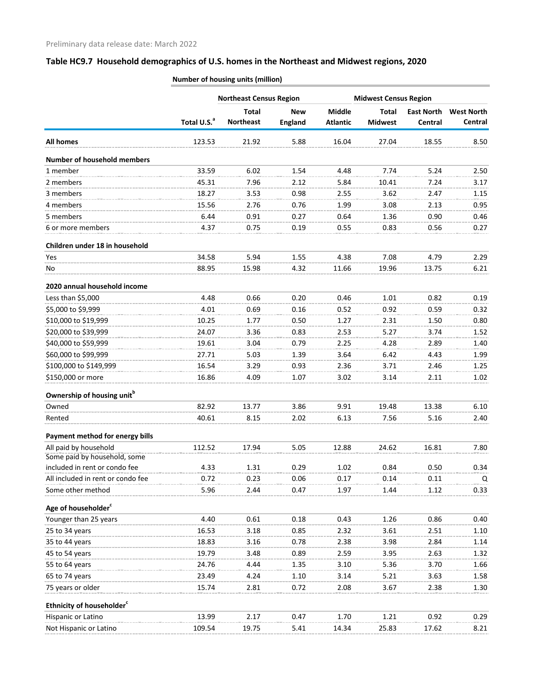# **Table HC9.7 Household demographics of U.S. homes in the Northeast and Midwest regions, 2020**

| Middle<br><b>Total</b><br><b>Total</b><br><b>East North</b><br><b>New</b><br>Total U.S. <sup>a</sup><br><b>Northeast</b><br><b>England</b><br><b>Atlantic</b><br><b>Midwest</b><br>Central<br>21.92<br>5.88<br>16.04<br>27.04<br>18.55<br><b>All homes</b><br>123.53<br><b>Number of household members</b><br>1 member<br>33.59<br>6.02<br>4.48<br>7.74<br>5.24<br>1.54<br>2 members<br>45.31<br>7.96<br>5.84<br>7.24<br>2.12<br>10.41<br>18.27<br>3.53<br>3.62<br>2.47<br>3 members<br>0.98<br>2.55<br>4 members<br>15.56<br>0.76<br>1.99<br>3.08<br>2.13<br>2.76<br>6.44<br>0.90<br>5 members<br>0.91<br>0.27<br>0.64<br>1.36<br>6 or more members<br>4.37<br>0.19<br>0.55<br>0.83<br>0.56<br>0.75<br>Children under 18 in household<br>34.58<br>5.94<br>1.55<br>4.38<br>7.08<br>4.79<br>Yes<br>88.95<br>15.98<br>4.32<br>11.66<br>19.96<br>13.75<br>No<br>2020 annual household income<br>Less than \$5,000<br>4.48<br>0.66<br>1.01<br>0.82<br>0.20<br>0.46<br>\$5,000 to \$9,999<br>0.52<br>0.59<br>4.01<br>0.69<br>0.16<br>0.92<br>\$10,000 to \$19,999<br>10.25<br>1.27<br>2.31<br>1.77<br>0.50<br>1.50<br>\$20,000 to \$39,999<br>24.07<br>3.36<br>0.83<br>2.53<br>5.27<br>3.74<br>\$40,000 to \$59,999<br>19.61<br>3.04<br>0.79<br>2.25<br>4.28<br>2.89<br>\$60,000 to \$99,999<br>5.03<br>3.64<br>6.42<br>27.71<br>4.43<br>1.39<br>\$100,000 to \$149,999<br>16.54<br>3.29<br>2.36<br>2.46<br>0.93<br>3.71<br>\$150,000 or more<br>16.86<br>4.09<br>1.07<br>3.02<br>3.14<br>2.11<br>Ownership of housing unit <sup>b</sup><br>82.92<br>13.77<br>9.91<br>19.48<br>13.38<br>Owned<br>3.86<br>40.61<br>8.15<br>6.13<br>7.56<br>5.16<br>Rented<br>2.02<br>Payment method for energy bills<br>All paid by household<br>112.52<br>17.94<br>5.05<br>12.88<br>24.62<br>16.81<br>Some paid by household, some<br>included in rent or condo fee<br>0.29<br>0.50<br>4.33<br>1.31<br>1.02<br>0.84<br>All included in rent or condo fee<br>0.14<br>0.11<br>0.72<br>0.23<br>0.06<br>0.17<br>Some other method<br>5.96<br>2.44<br>1.97<br>0.47<br>1.44<br>1.12<br>Age of householder <sup>c</sup><br>Younger than 25 years<br>4.40<br>0.61<br>0.18<br>1.26<br>0.86<br>0.43<br>25 to 34 years<br>16.53<br>0.85<br>2.32<br>3.61<br>2.51<br>3.18<br>18.83<br>3.16<br>0.78<br>2.38<br>3.98<br>2.84<br>35 to 44 years<br>19.79<br>3.95<br>45 to 54 years<br>3.48<br>2.59<br>2.63<br>0.89<br>55 to 64 years<br>24.76<br>4.44<br>3.10<br>5.36<br>3.70<br>1.35<br>23.49<br>65 to 74 years<br>4.24<br>3.14<br>5.21<br>3.63<br>1.10<br>75 years or older<br>15.74<br>0.72<br>2.08<br>2.38<br>2.81<br>3.67<br>Ethnicity of householder <sup>c</sup> | <b>Northeast Census Region</b> |  |  | <b>Midwest Census Region</b> |  |                   |
|------------------------------------------------------------------------------------------------------------------------------------------------------------------------------------------------------------------------------------------------------------------------------------------------------------------------------------------------------------------------------------------------------------------------------------------------------------------------------------------------------------------------------------------------------------------------------------------------------------------------------------------------------------------------------------------------------------------------------------------------------------------------------------------------------------------------------------------------------------------------------------------------------------------------------------------------------------------------------------------------------------------------------------------------------------------------------------------------------------------------------------------------------------------------------------------------------------------------------------------------------------------------------------------------------------------------------------------------------------------------------------------------------------------------------------------------------------------------------------------------------------------------------------------------------------------------------------------------------------------------------------------------------------------------------------------------------------------------------------------------------------------------------------------------------------------------------------------------------------------------------------------------------------------------------------------------------------------------------------------------------------------------------------------------------------------------------------------------------------------------------------------------------------------------------------------------------------------------------------------------------------------------------------------------------------------------------------------------------------------------------------------------------------------------------------------------------------------------------------------------------------------------------------------------------------------------------------------------------------------------------------|--------------------------------|--|--|------------------------------|--|-------------------|
|                                                                                                                                                                                                                                                                                                                                                                                                                                                                                                                                                                                                                                                                                                                                                                                                                                                                                                                                                                                                                                                                                                                                                                                                                                                                                                                                                                                                                                                                                                                                                                                                                                                                                                                                                                                                                                                                                                                                                                                                                                                                                                                                                                                                                                                                                                                                                                                                                                                                                                                                                                                                                                    |                                |  |  |                              |  | <b>West North</b> |
|                                                                                                                                                                                                                                                                                                                                                                                                                                                                                                                                                                                                                                                                                                                                                                                                                                                                                                                                                                                                                                                                                                                                                                                                                                                                                                                                                                                                                                                                                                                                                                                                                                                                                                                                                                                                                                                                                                                                                                                                                                                                                                                                                                                                                                                                                                                                                                                                                                                                                                                                                                                                                                    |                                |  |  |                              |  | Central           |
|                                                                                                                                                                                                                                                                                                                                                                                                                                                                                                                                                                                                                                                                                                                                                                                                                                                                                                                                                                                                                                                                                                                                                                                                                                                                                                                                                                                                                                                                                                                                                                                                                                                                                                                                                                                                                                                                                                                                                                                                                                                                                                                                                                                                                                                                                                                                                                                                                                                                                                                                                                                                                                    |                                |  |  |                              |  | 8.50              |
|                                                                                                                                                                                                                                                                                                                                                                                                                                                                                                                                                                                                                                                                                                                                                                                                                                                                                                                                                                                                                                                                                                                                                                                                                                                                                                                                                                                                                                                                                                                                                                                                                                                                                                                                                                                                                                                                                                                                                                                                                                                                                                                                                                                                                                                                                                                                                                                                                                                                                                                                                                                                                                    |                                |  |  |                              |  |                   |
|                                                                                                                                                                                                                                                                                                                                                                                                                                                                                                                                                                                                                                                                                                                                                                                                                                                                                                                                                                                                                                                                                                                                                                                                                                                                                                                                                                                                                                                                                                                                                                                                                                                                                                                                                                                                                                                                                                                                                                                                                                                                                                                                                                                                                                                                                                                                                                                                                                                                                                                                                                                                                                    |                                |  |  |                              |  | 2.50              |
|                                                                                                                                                                                                                                                                                                                                                                                                                                                                                                                                                                                                                                                                                                                                                                                                                                                                                                                                                                                                                                                                                                                                                                                                                                                                                                                                                                                                                                                                                                                                                                                                                                                                                                                                                                                                                                                                                                                                                                                                                                                                                                                                                                                                                                                                                                                                                                                                                                                                                                                                                                                                                                    |                                |  |  |                              |  | 3.17              |
|                                                                                                                                                                                                                                                                                                                                                                                                                                                                                                                                                                                                                                                                                                                                                                                                                                                                                                                                                                                                                                                                                                                                                                                                                                                                                                                                                                                                                                                                                                                                                                                                                                                                                                                                                                                                                                                                                                                                                                                                                                                                                                                                                                                                                                                                                                                                                                                                                                                                                                                                                                                                                                    |                                |  |  |                              |  | 1.15              |
|                                                                                                                                                                                                                                                                                                                                                                                                                                                                                                                                                                                                                                                                                                                                                                                                                                                                                                                                                                                                                                                                                                                                                                                                                                                                                                                                                                                                                                                                                                                                                                                                                                                                                                                                                                                                                                                                                                                                                                                                                                                                                                                                                                                                                                                                                                                                                                                                                                                                                                                                                                                                                                    |                                |  |  |                              |  | 0.95              |
|                                                                                                                                                                                                                                                                                                                                                                                                                                                                                                                                                                                                                                                                                                                                                                                                                                                                                                                                                                                                                                                                                                                                                                                                                                                                                                                                                                                                                                                                                                                                                                                                                                                                                                                                                                                                                                                                                                                                                                                                                                                                                                                                                                                                                                                                                                                                                                                                                                                                                                                                                                                                                                    |                                |  |  |                              |  | 0.46              |
|                                                                                                                                                                                                                                                                                                                                                                                                                                                                                                                                                                                                                                                                                                                                                                                                                                                                                                                                                                                                                                                                                                                                                                                                                                                                                                                                                                                                                                                                                                                                                                                                                                                                                                                                                                                                                                                                                                                                                                                                                                                                                                                                                                                                                                                                                                                                                                                                                                                                                                                                                                                                                                    |                                |  |  |                              |  | 0.27              |
|                                                                                                                                                                                                                                                                                                                                                                                                                                                                                                                                                                                                                                                                                                                                                                                                                                                                                                                                                                                                                                                                                                                                                                                                                                                                                                                                                                                                                                                                                                                                                                                                                                                                                                                                                                                                                                                                                                                                                                                                                                                                                                                                                                                                                                                                                                                                                                                                                                                                                                                                                                                                                                    |                                |  |  |                              |  |                   |
|                                                                                                                                                                                                                                                                                                                                                                                                                                                                                                                                                                                                                                                                                                                                                                                                                                                                                                                                                                                                                                                                                                                                                                                                                                                                                                                                                                                                                                                                                                                                                                                                                                                                                                                                                                                                                                                                                                                                                                                                                                                                                                                                                                                                                                                                                                                                                                                                                                                                                                                                                                                                                                    |                                |  |  |                              |  | 2.29              |
|                                                                                                                                                                                                                                                                                                                                                                                                                                                                                                                                                                                                                                                                                                                                                                                                                                                                                                                                                                                                                                                                                                                                                                                                                                                                                                                                                                                                                                                                                                                                                                                                                                                                                                                                                                                                                                                                                                                                                                                                                                                                                                                                                                                                                                                                                                                                                                                                                                                                                                                                                                                                                                    |                                |  |  |                              |  | 6.21              |
|                                                                                                                                                                                                                                                                                                                                                                                                                                                                                                                                                                                                                                                                                                                                                                                                                                                                                                                                                                                                                                                                                                                                                                                                                                                                                                                                                                                                                                                                                                                                                                                                                                                                                                                                                                                                                                                                                                                                                                                                                                                                                                                                                                                                                                                                                                                                                                                                                                                                                                                                                                                                                                    |                                |  |  |                              |  |                   |
|                                                                                                                                                                                                                                                                                                                                                                                                                                                                                                                                                                                                                                                                                                                                                                                                                                                                                                                                                                                                                                                                                                                                                                                                                                                                                                                                                                                                                                                                                                                                                                                                                                                                                                                                                                                                                                                                                                                                                                                                                                                                                                                                                                                                                                                                                                                                                                                                                                                                                                                                                                                                                                    |                                |  |  |                              |  | 0.19              |
|                                                                                                                                                                                                                                                                                                                                                                                                                                                                                                                                                                                                                                                                                                                                                                                                                                                                                                                                                                                                                                                                                                                                                                                                                                                                                                                                                                                                                                                                                                                                                                                                                                                                                                                                                                                                                                                                                                                                                                                                                                                                                                                                                                                                                                                                                                                                                                                                                                                                                                                                                                                                                                    |                                |  |  |                              |  | 0.32              |
|                                                                                                                                                                                                                                                                                                                                                                                                                                                                                                                                                                                                                                                                                                                                                                                                                                                                                                                                                                                                                                                                                                                                                                                                                                                                                                                                                                                                                                                                                                                                                                                                                                                                                                                                                                                                                                                                                                                                                                                                                                                                                                                                                                                                                                                                                                                                                                                                                                                                                                                                                                                                                                    |                                |  |  |                              |  | 0.80              |
|                                                                                                                                                                                                                                                                                                                                                                                                                                                                                                                                                                                                                                                                                                                                                                                                                                                                                                                                                                                                                                                                                                                                                                                                                                                                                                                                                                                                                                                                                                                                                                                                                                                                                                                                                                                                                                                                                                                                                                                                                                                                                                                                                                                                                                                                                                                                                                                                                                                                                                                                                                                                                                    |                                |  |  |                              |  | 1.52              |
|                                                                                                                                                                                                                                                                                                                                                                                                                                                                                                                                                                                                                                                                                                                                                                                                                                                                                                                                                                                                                                                                                                                                                                                                                                                                                                                                                                                                                                                                                                                                                                                                                                                                                                                                                                                                                                                                                                                                                                                                                                                                                                                                                                                                                                                                                                                                                                                                                                                                                                                                                                                                                                    |                                |  |  |                              |  | 1.40              |
|                                                                                                                                                                                                                                                                                                                                                                                                                                                                                                                                                                                                                                                                                                                                                                                                                                                                                                                                                                                                                                                                                                                                                                                                                                                                                                                                                                                                                                                                                                                                                                                                                                                                                                                                                                                                                                                                                                                                                                                                                                                                                                                                                                                                                                                                                                                                                                                                                                                                                                                                                                                                                                    |                                |  |  |                              |  | 1.99              |
|                                                                                                                                                                                                                                                                                                                                                                                                                                                                                                                                                                                                                                                                                                                                                                                                                                                                                                                                                                                                                                                                                                                                                                                                                                                                                                                                                                                                                                                                                                                                                                                                                                                                                                                                                                                                                                                                                                                                                                                                                                                                                                                                                                                                                                                                                                                                                                                                                                                                                                                                                                                                                                    |                                |  |  |                              |  | 1.25              |
|                                                                                                                                                                                                                                                                                                                                                                                                                                                                                                                                                                                                                                                                                                                                                                                                                                                                                                                                                                                                                                                                                                                                                                                                                                                                                                                                                                                                                                                                                                                                                                                                                                                                                                                                                                                                                                                                                                                                                                                                                                                                                                                                                                                                                                                                                                                                                                                                                                                                                                                                                                                                                                    |                                |  |  |                              |  | 1.02              |
|                                                                                                                                                                                                                                                                                                                                                                                                                                                                                                                                                                                                                                                                                                                                                                                                                                                                                                                                                                                                                                                                                                                                                                                                                                                                                                                                                                                                                                                                                                                                                                                                                                                                                                                                                                                                                                                                                                                                                                                                                                                                                                                                                                                                                                                                                                                                                                                                                                                                                                                                                                                                                                    |                                |  |  |                              |  |                   |
|                                                                                                                                                                                                                                                                                                                                                                                                                                                                                                                                                                                                                                                                                                                                                                                                                                                                                                                                                                                                                                                                                                                                                                                                                                                                                                                                                                                                                                                                                                                                                                                                                                                                                                                                                                                                                                                                                                                                                                                                                                                                                                                                                                                                                                                                                                                                                                                                                                                                                                                                                                                                                                    |                                |  |  |                              |  | 6.10              |
|                                                                                                                                                                                                                                                                                                                                                                                                                                                                                                                                                                                                                                                                                                                                                                                                                                                                                                                                                                                                                                                                                                                                                                                                                                                                                                                                                                                                                                                                                                                                                                                                                                                                                                                                                                                                                                                                                                                                                                                                                                                                                                                                                                                                                                                                                                                                                                                                                                                                                                                                                                                                                                    |                                |  |  |                              |  | 2.40              |
|                                                                                                                                                                                                                                                                                                                                                                                                                                                                                                                                                                                                                                                                                                                                                                                                                                                                                                                                                                                                                                                                                                                                                                                                                                                                                                                                                                                                                                                                                                                                                                                                                                                                                                                                                                                                                                                                                                                                                                                                                                                                                                                                                                                                                                                                                                                                                                                                                                                                                                                                                                                                                                    |                                |  |  |                              |  |                   |
|                                                                                                                                                                                                                                                                                                                                                                                                                                                                                                                                                                                                                                                                                                                                                                                                                                                                                                                                                                                                                                                                                                                                                                                                                                                                                                                                                                                                                                                                                                                                                                                                                                                                                                                                                                                                                                                                                                                                                                                                                                                                                                                                                                                                                                                                                                                                                                                                                                                                                                                                                                                                                                    |                                |  |  |                              |  | 7.80              |
|                                                                                                                                                                                                                                                                                                                                                                                                                                                                                                                                                                                                                                                                                                                                                                                                                                                                                                                                                                                                                                                                                                                                                                                                                                                                                                                                                                                                                                                                                                                                                                                                                                                                                                                                                                                                                                                                                                                                                                                                                                                                                                                                                                                                                                                                                                                                                                                                                                                                                                                                                                                                                                    |                                |  |  |                              |  |                   |
|                                                                                                                                                                                                                                                                                                                                                                                                                                                                                                                                                                                                                                                                                                                                                                                                                                                                                                                                                                                                                                                                                                                                                                                                                                                                                                                                                                                                                                                                                                                                                                                                                                                                                                                                                                                                                                                                                                                                                                                                                                                                                                                                                                                                                                                                                                                                                                                                                                                                                                                                                                                                                                    |                                |  |  |                              |  | 0.34              |
|                                                                                                                                                                                                                                                                                                                                                                                                                                                                                                                                                                                                                                                                                                                                                                                                                                                                                                                                                                                                                                                                                                                                                                                                                                                                                                                                                                                                                                                                                                                                                                                                                                                                                                                                                                                                                                                                                                                                                                                                                                                                                                                                                                                                                                                                                                                                                                                                                                                                                                                                                                                                                                    |                                |  |  |                              |  | Q                 |
|                                                                                                                                                                                                                                                                                                                                                                                                                                                                                                                                                                                                                                                                                                                                                                                                                                                                                                                                                                                                                                                                                                                                                                                                                                                                                                                                                                                                                                                                                                                                                                                                                                                                                                                                                                                                                                                                                                                                                                                                                                                                                                                                                                                                                                                                                                                                                                                                                                                                                                                                                                                                                                    |                                |  |  |                              |  | 0.33              |
|                                                                                                                                                                                                                                                                                                                                                                                                                                                                                                                                                                                                                                                                                                                                                                                                                                                                                                                                                                                                                                                                                                                                                                                                                                                                                                                                                                                                                                                                                                                                                                                                                                                                                                                                                                                                                                                                                                                                                                                                                                                                                                                                                                                                                                                                                                                                                                                                                                                                                                                                                                                                                                    |                                |  |  |                              |  |                   |
|                                                                                                                                                                                                                                                                                                                                                                                                                                                                                                                                                                                                                                                                                                                                                                                                                                                                                                                                                                                                                                                                                                                                                                                                                                                                                                                                                                                                                                                                                                                                                                                                                                                                                                                                                                                                                                                                                                                                                                                                                                                                                                                                                                                                                                                                                                                                                                                                                                                                                                                                                                                                                                    |                                |  |  |                              |  | 0.40              |
|                                                                                                                                                                                                                                                                                                                                                                                                                                                                                                                                                                                                                                                                                                                                                                                                                                                                                                                                                                                                                                                                                                                                                                                                                                                                                                                                                                                                                                                                                                                                                                                                                                                                                                                                                                                                                                                                                                                                                                                                                                                                                                                                                                                                                                                                                                                                                                                                                                                                                                                                                                                                                                    |                                |  |  |                              |  | 1.10              |
|                                                                                                                                                                                                                                                                                                                                                                                                                                                                                                                                                                                                                                                                                                                                                                                                                                                                                                                                                                                                                                                                                                                                                                                                                                                                                                                                                                                                                                                                                                                                                                                                                                                                                                                                                                                                                                                                                                                                                                                                                                                                                                                                                                                                                                                                                                                                                                                                                                                                                                                                                                                                                                    |                                |  |  |                              |  | 1.14              |
|                                                                                                                                                                                                                                                                                                                                                                                                                                                                                                                                                                                                                                                                                                                                                                                                                                                                                                                                                                                                                                                                                                                                                                                                                                                                                                                                                                                                                                                                                                                                                                                                                                                                                                                                                                                                                                                                                                                                                                                                                                                                                                                                                                                                                                                                                                                                                                                                                                                                                                                                                                                                                                    |                                |  |  |                              |  | 1.32              |
|                                                                                                                                                                                                                                                                                                                                                                                                                                                                                                                                                                                                                                                                                                                                                                                                                                                                                                                                                                                                                                                                                                                                                                                                                                                                                                                                                                                                                                                                                                                                                                                                                                                                                                                                                                                                                                                                                                                                                                                                                                                                                                                                                                                                                                                                                                                                                                                                                                                                                                                                                                                                                                    |                                |  |  |                              |  | 1.66              |
|                                                                                                                                                                                                                                                                                                                                                                                                                                                                                                                                                                                                                                                                                                                                                                                                                                                                                                                                                                                                                                                                                                                                                                                                                                                                                                                                                                                                                                                                                                                                                                                                                                                                                                                                                                                                                                                                                                                                                                                                                                                                                                                                                                                                                                                                                                                                                                                                                                                                                                                                                                                                                                    |                                |  |  |                              |  | 1.58              |
|                                                                                                                                                                                                                                                                                                                                                                                                                                                                                                                                                                                                                                                                                                                                                                                                                                                                                                                                                                                                                                                                                                                                                                                                                                                                                                                                                                                                                                                                                                                                                                                                                                                                                                                                                                                                                                                                                                                                                                                                                                                                                                                                                                                                                                                                                                                                                                                                                                                                                                                                                                                                                                    |                                |  |  |                              |  | 1.30              |
|                                                                                                                                                                                                                                                                                                                                                                                                                                                                                                                                                                                                                                                                                                                                                                                                                                                                                                                                                                                                                                                                                                                                                                                                                                                                                                                                                                                                                                                                                                                                                                                                                                                                                                                                                                                                                                                                                                                                                                                                                                                                                                                                                                                                                                                                                                                                                                                                                                                                                                                                                                                                                                    |                                |  |  |                              |  |                   |
| Hispanic or Latino<br>13.99<br>2.17<br>0.47<br>1.70<br>1.21<br>0.92                                                                                                                                                                                                                                                                                                                                                                                                                                                                                                                                                                                                                                                                                                                                                                                                                                                                                                                                                                                                                                                                                                                                                                                                                                                                                                                                                                                                                                                                                                                                                                                                                                                                                                                                                                                                                                                                                                                                                                                                                                                                                                                                                                                                                                                                                                                                                                                                                                                                                                                                                                |                                |  |  |                              |  | 0.29              |
| Not Hispanic or Latino<br>109.54<br>19.75<br>14.34<br>25.83<br>17.62<br>5.41                                                                                                                                                                                                                                                                                                                                                                                                                                                                                                                                                                                                                                                                                                                                                                                                                                                                                                                                                                                                                                                                                                                                                                                                                                                                                                                                                                                                                                                                                                                                                                                                                                                                                                                                                                                                                                                                                                                                                                                                                                                                                                                                                                                                                                                                                                                                                                                                                                                                                                                                                       |                                |  |  |                              |  | 8.21              |

**Number of housing units (million)**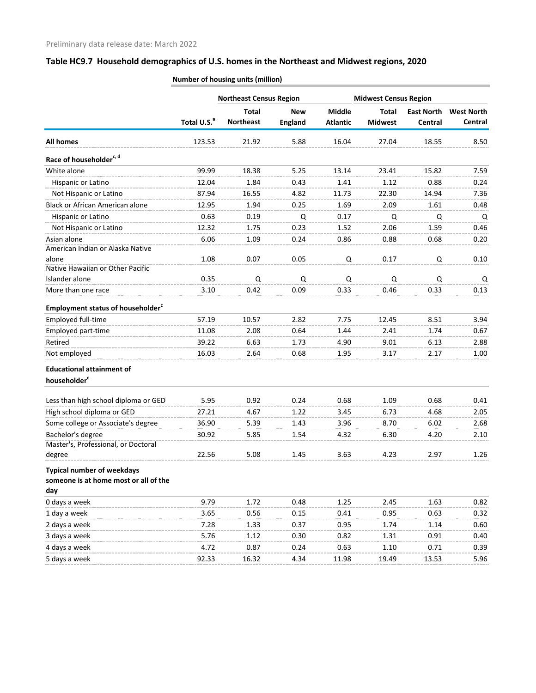# **Table HC9.7 Household demographics of U.S. homes in the Northeast and Midwest regions, 2020**

|                                                      | <b>Northeast Census Region</b> |                                  |                              |                                  | <b>Midwest Census Region</b> |                              |                              |  |
|------------------------------------------------------|--------------------------------|----------------------------------|------------------------------|----------------------------------|------------------------------|------------------------------|------------------------------|--|
|                                                      | Total U.S. <sup>a</sup>        | <b>Total</b><br><b>Northeast</b> | <b>New</b><br><b>England</b> | <b>Middle</b><br><b>Atlantic</b> | Total<br><b>Midwest</b>      | <b>East North</b><br>Central | <b>West North</b><br>Central |  |
| <b>All homes</b>                                     | 123.53                         | 21.92                            | 5.88                         | 16.04                            | 27.04                        | 18.55                        | 8.50                         |  |
| Race of householder <sup>c, d</sup>                  |                                |                                  |                              |                                  |                              |                              |                              |  |
| White alone                                          | 99.99                          | 18.38                            | 5.25                         | 13.14                            | 23.41                        | 15.82                        | 7.59                         |  |
| Hispanic or Latino                                   | 12.04                          | 1.84                             | 0.43                         | 1.41                             | 1.12                         | 0.88                         | 0.24                         |  |
| Not Hispanic or Latino                               | 87.94                          | 16.55                            | 4.82                         | 11.73                            | 22.30                        | 14.94                        | 7.36                         |  |
| <b>Black or African American alone</b>               | 12.95                          | 1.94                             | 0.25                         | 1.69                             | 2.09                         | 1.61                         | 0.48                         |  |
| Hispanic or Latino                                   | 0.63                           | 0.19                             | Q                            | 0.17                             | Q                            | Q                            | Q                            |  |
| Not Hispanic or Latino                               | 12.32                          | 1.75                             | 0.23                         | 1.52                             | 2.06                         | 1.59                         | 0.46                         |  |
| Asian alone                                          | 6.06                           | 1.09                             | 0.24                         | 0.86                             | 0.88                         | 0.68                         | 0.20                         |  |
| American Indian or Alaska Native                     |                                |                                  |                              |                                  |                              |                              |                              |  |
| alone<br>Native Hawaiian or Other Pacific            | 1.08                           | 0.07                             | 0.05                         | Q                                | 0.17                         | Q                            | 0.10                         |  |
| Islander alone                                       | 0.35                           | Q                                | Q                            | Q                                | Q                            | Q                            | Q                            |  |
| More than one race                                   | 3.10                           | 0.42                             | 0.09                         | 0.33                             | 0.46                         | 0.33                         | 0.13                         |  |
| <b>Employment status of householder</b> <sup>c</sup> |                                |                                  |                              |                                  |                              |                              |                              |  |
| Employed full-time                                   | 57.19                          | 10.57                            | 2.82                         | 7.75                             | 12.45                        | 8.51                         | 3.94                         |  |
| Employed part-time                                   | 11.08                          | 2.08                             | 0.64                         | 1.44                             | 2.41                         | 1.74                         | 0.67                         |  |
| Retired                                              | 39.22                          | 6.63                             | 1.73                         | 4.90                             | 9.01                         | 6.13                         | 2.88                         |  |
| Not employed                                         | 16.03                          | 2.64                             | 0.68                         | 1.95                             | 3.17                         | 2.17                         | 1.00                         |  |
| <b>Educational attainment of</b>                     |                                |                                  |                              |                                  |                              |                              |                              |  |
| householder <sup>c</sup>                             |                                |                                  |                              |                                  |                              |                              |                              |  |
| Less than high school diploma or GED                 | 5.95                           | 0.92                             | 0.24                         | 0.68                             | 1.09                         | 0.68                         | 0.41                         |  |
| High school diploma or GED                           | 27.21                          | 4.67                             | 1.22                         | 3.45                             | 6.73                         | 4.68                         | 2.05                         |  |
| Some college or Associate's degree                   | 36.90                          | 5.39                             | 1.43                         | 3.96                             | 8.70                         | 6.02                         | 2.68                         |  |
| Bachelor's degree                                    | 30.92                          | 5.85                             | 1.54                         | 4.32                             | 6.30                         | 4.20                         | 2.10                         |  |
| Master's, Professional, or Doctoral                  |                                |                                  |                              |                                  |                              |                              |                              |  |
| degree                                               | 22.56                          | 5.08                             | 1.45                         | 3.63                             | 4.23                         | 2.97                         | 1.26                         |  |
| <b>Typical number of weekdays</b>                    |                                |                                  |                              |                                  |                              |                              |                              |  |
| someone is at home most or all of the<br>day         |                                |                                  |                              |                                  |                              |                              |                              |  |
| 0 days a week                                        | 9.79                           | 1.72                             | 0.48                         | 1.25                             | 2.45                         | 1.63                         | 0.82                         |  |
| 1 day a week                                         | 3.65                           | 0.56                             | 0.15                         | 0.41                             | 0.95                         | 0.63                         | 0.32                         |  |
| 2 days a week                                        | 7.28                           | 1.33                             | 0.37                         | 0.95                             | 1.74                         | 1.14                         | 0.60                         |  |
| 3 days a week                                        | 5.76                           | 1.12                             | 0.30                         | 0.82                             | 1.31                         | 0.91                         | 0.40                         |  |
| 4 days a week                                        | 4.72                           | 0.87                             | 0.24                         | 0.63                             | 1.10                         | 0.71                         | 0.39                         |  |
| 5 days a week                                        | 92.33                          | 16.32                            | 4.34                         | 11.98                            | 19.49                        | 13.53                        | 5.96                         |  |

**Number of housing units (million)**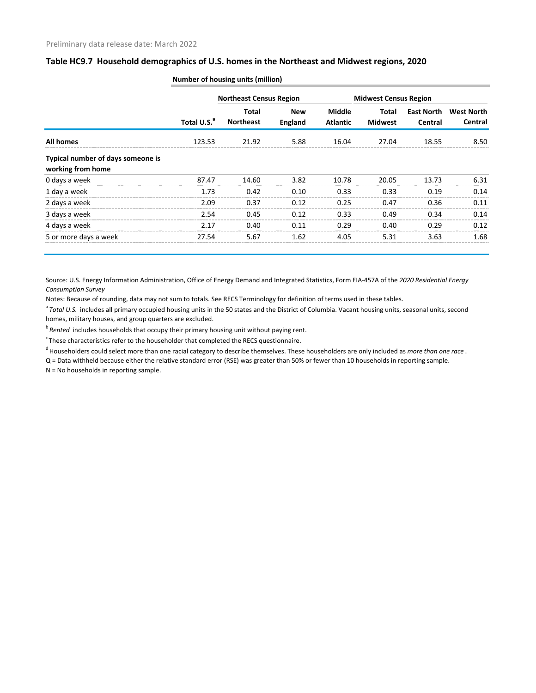|                                                        | Total U.S. <sup>a</sup> | <b>Northeast Census Region</b> |                              |                                  |                         | <b>Midwest Census Region</b> |                              |
|--------------------------------------------------------|-------------------------|--------------------------------|------------------------------|----------------------------------|-------------------------|------------------------------|------------------------------|
|                                                        |                         | Total<br><b>Northeast</b>      | <b>New</b><br><b>England</b> | <b>Middle</b><br><b>Atlantic</b> | Total<br><b>Midwest</b> | East North<br>Central        | <b>West North</b><br>Central |
| <b>All homes</b>                                       | 123.53                  | 21.92                          | 5.88                         | 16.04                            | 27.04                   | 18.55                        | 8.50                         |
| Typical number of days someone is<br>working from home |                         |                                |                              |                                  |                         |                              |                              |
| 0 days a week                                          | 87.47                   | 14.60                          | 3.82                         | 10.78                            | 20.05                   | 13.73                        | 6.31                         |
| 1 day a week                                           | 1.73                    | 0.42                           | 0.10                         | 0.33                             | 0.33                    | 0.19                         | 0.14                         |
| 2 days a week                                          | 2.09                    | 0.37                           | 0.12                         | 0.25                             | 0.47                    | 0.36                         | 0.11                         |
| 3 days a week                                          | 2.54                    | 0.45                           | 0.12                         | 0.33                             | 0.49                    | 0.34                         | 0.14                         |
| 4 days a week                                          | 2.17                    | 0.40                           | 0.11                         | 0.29                             | 0.40                    | 0.29                         | 0.12                         |
| 5 or more days a week                                  | 27.54                   | 5.67                           | 1.62                         | 4.05                             | 5.31                    | 3.63                         | 1.68                         |

**Number of housing units (million)**

Source: U.S. Energy Information Administration, Office of Energy Demand and Integrated Statistics, Form EIA-457A of the *2020 Residential Energy Consumption Survey*

Notes: Because of rounding, data may not sum to totals. See RECS Terminology for definition of terms used in these tables.

<sup>a</sup> Total U.S. includes all primary occupied housing units in the 50 states and the District of Columbia. Vacant housing units, seasonal units, second homes, military houses, and group quarters are excluded.

b<sup>b</sup> Rented includes households that occupy their primary housing unit without paying rent.

 $\degree$ These characteristics refer to the householder that completed the RECS questionnaire.

d Householders could select more than one racial category to describe themselves. These householders are only included as *more than one race* .

Q = Data withheld because either the relative standard error (RSE) was greater than 50% or fewer than 10 households in reporting sample.

N = No households in reporting sample.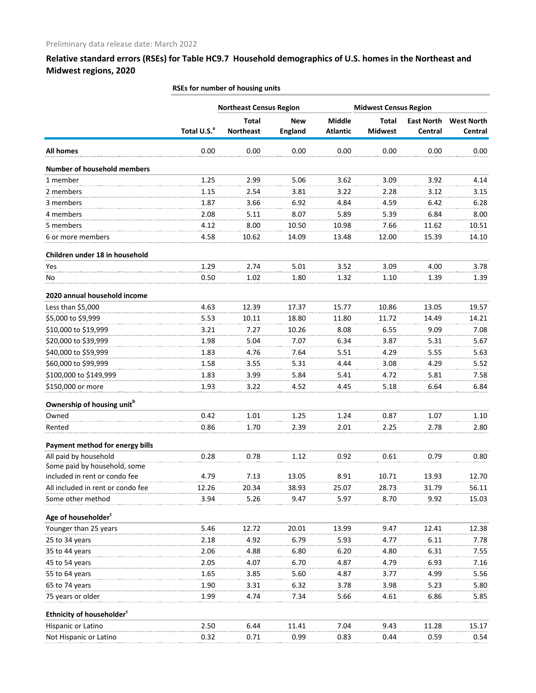### **Relative standard errors (RSEs) for Table HC9.7 Household demographics of U.S. homes in the Northeast and Midwest regions, 2020**

|                                        | <b>Northeast Census Region</b> | <b>Midwest Census Region</b>     |                              |                                  |                                |                              |                              |
|----------------------------------------|--------------------------------|----------------------------------|------------------------------|----------------------------------|--------------------------------|------------------------------|------------------------------|
|                                        | Total U.S. <sup>a</sup>        | <b>Total</b><br><b>Northeast</b> | <b>New</b><br><b>England</b> | <b>Middle</b><br><b>Atlantic</b> | <b>Total</b><br><b>Midwest</b> | <b>East North</b><br>Central | <b>West North</b><br>Central |
| <b>All homes</b>                       | 0.00                           | 0.00                             | 0.00                         | 0.00                             | 0.00                           | 0.00                         | 0.00                         |
| <b>Number of household members</b>     |                                |                                  |                              |                                  |                                |                              |                              |
| 1 member                               | 1.25                           | 2.99                             | 5.06                         | 3.62                             | 3.09                           | 3.92                         | 4.14                         |
| 2 members                              | 1.15                           | 2.54                             | 3.81                         | 3.22                             | 2.28                           | 3.12                         | 3.15                         |
| 3 members                              | 1.87                           | 3.66                             | 6.92                         | 4.84                             | 4.59                           | 6.42                         | 6.28                         |
| 4 members                              | 2.08                           | 5.11                             | 8.07                         | 5.89                             | 5.39                           | 6.84                         | 8.00                         |
| 5 members                              | 4.12                           | 8.00                             | 10.50                        | 10.98                            | 7.66                           | 11.62                        | 10.51                        |
| 6 or more members                      | 4.58                           | 10.62                            | 14.09                        | 13.48                            | 12.00                          | 15.39                        | 14.10                        |
| Children under 18 in household         |                                |                                  |                              |                                  |                                |                              |                              |
| Yes                                    | 1.29                           | 2.74                             | 5.01                         | 3.52                             | 3.09                           | 4.00                         | 3.78                         |
| No                                     | 0.50                           | 1.02                             | 1.80                         | 1.32                             | 1.10                           | 1.39                         | 1.39                         |
| 2020 annual household income           |                                |                                  |                              |                                  |                                |                              |                              |
| Less than \$5,000                      | 4.63                           | 12.39                            | 17.37                        | 15.77                            | 10.86                          | 13.05                        | 19.57                        |
| \$5,000 to \$9,999                     | 5.53                           | 10.11                            | 18.80                        | 11.80                            | 11.72                          | 14.49                        | 14.21                        |
| \$10,000 to \$19,999                   | 3.21                           | 7.27                             | 10.26                        | 8.08                             | 6.55                           | 9.09                         | 7.08                         |
| \$20,000 to \$39,999                   | 1.98                           | 5.04                             | 7.07                         | 6.34                             | 3.87                           | 5.31                         | 5.67                         |
| \$40,000 to \$59,999                   | 1.83                           | 4.76                             | 7.64                         | 5.51                             | 4.29                           | 5.55                         | 5.63                         |
| \$60,000 to \$99,999                   | 1.58                           | 3.55                             | 5.31                         | 4.44                             | 3.08                           | 4.29                         | 5.52                         |
| \$100,000 to \$149,999                 | 1.83                           | 3.99                             | 5.84                         | 5.41                             | 4.72                           | 5.81                         | 7.58                         |
| \$150,000 or more                      | 1.93                           | 3.22                             | 4.52                         | 4.45                             | 5.18                           | 6.64                         | 6.84                         |
| Ownership of housing unit <sup>b</sup> |                                |                                  |                              |                                  |                                |                              |                              |
| Owned                                  | 0.42                           | 1.01                             | 1.25                         | 1.24                             | 0.87                           | 1.07                         | 1.10                         |
| Rented                                 | 0.86                           | 1.70                             | 2.39                         | 2.01                             | 2.25                           | 2.78                         | 2.80                         |
| Payment method for energy bills        |                                |                                  |                              |                                  |                                |                              |                              |
| All paid by household                  | 0.28                           | 0.78                             | 1.12                         | 0.92                             | 0.61                           | 0.79                         | 0.80                         |
| Some paid by household, some           |                                |                                  |                              |                                  |                                |                              |                              |
| included in rent or condo fee          | 4.79                           | 7.13                             | 13.05                        | 8.91                             | 10.71                          | 13.93                        | 12.70                        |
| All included in rent or condo fee      | 12.26                          | 20.34                            | 38.93                        | 25.07                            | 28.73                          | 31.79                        | 56.11                        |
| Some other method                      | 3.94                           | 5.26                             | 9.47                         | 5.97                             | 8.70                           | 9.92                         | 15.03                        |
| Age of householder <sup>c</sup>        |                                |                                  |                              |                                  |                                |                              |                              |
| Younger than 25 years                  | 5.46                           | 12.72                            | 20.01                        | 13.99                            | 9.47                           | 12.41                        | 12.38                        |
| 25 to 34 years                         | 2.18                           | 4.92                             | 6.79                         | 5.93                             | 4.77                           | 6.11                         | 7.78                         |
| 35 to 44 years                         | 2.06                           | 4.88                             | 6.80                         | 6.20                             | 4.80                           | 6.31                         | 7.55                         |
| 45 to 54 years                         | 2.05                           | 4.07                             | 6.70                         | 4.87                             | 4.79                           | 6.93                         | 7.16                         |
| 55 to 64 years                         | 1.65                           | 3.85                             | 5.60                         | 4.87                             | 3.77                           | 4.99                         | 5.56                         |
| 65 to 74 years                         | 1.90                           | 3.31                             | 6.32                         | 3.78                             | 3.98                           | 5.23                         | 5.80                         |
| 75 years or older                      | 1.99                           | 4.74                             | 7.34                         | 5.66                             | 4.61                           | 6.86                         | 5.85                         |
| Ethnicity of householder <sup>c</sup>  |                                |                                  |                              |                                  |                                |                              |                              |
| Hispanic or Latino                     | 2.50                           | 6.44                             | 11.41                        | 7.04                             | 9.43                           | 11.28                        | 15.17                        |
| Not Hispanic or Latino                 | 0.32                           | 0.71                             | 0.99                         | 0.83                             | 0.44                           | 0.59                         | 0.54                         |

#### **RSEs for number of housing units**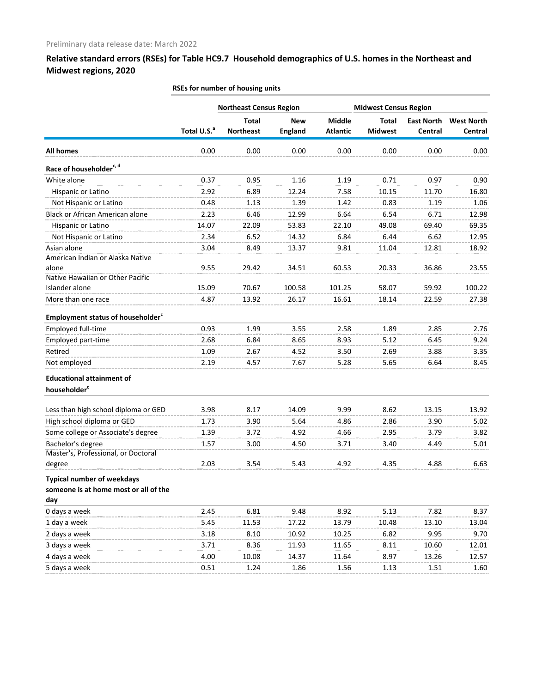**Relative standard errors (RSEs) for Table HC9.7 Household demographics of U.S. homes in the Northeast and Midwest regions, 2020**

|                                                      | <b>Northeast Census Region</b> |                  |                |                 | <b>Midwest Census Region</b> |                   |                   |  |
|------------------------------------------------------|--------------------------------|------------------|----------------|-----------------|------------------------------|-------------------|-------------------|--|
|                                                      |                                | <b>Total</b>     | <b>New</b>     | Middle          | <b>Total</b>                 | <b>East North</b> | <b>West North</b> |  |
|                                                      | Total U.S. <sup>a</sup>        | <b>Northeast</b> | <b>England</b> | <b>Atlantic</b> | <b>Midwest</b>               | Central           | Central           |  |
| <b>All homes</b>                                     | 0.00                           | 0.00             | 0.00           | 0.00            | 0.00                         | 0.00              | 0.00              |  |
| Race of householder <sup>c, d</sup>                  |                                |                  |                |                 |                              |                   |                   |  |
| White alone                                          | 0.37                           | 0.95             | 1.16           | 1.19            | 0.71                         | 0.97              | 0.90              |  |
| Hispanic or Latino                                   | 2.92                           | 6.89             | 12.24          | 7.58            | 10.15                        | 11.70             | 16.80             |  |
| Not Hispanic or Latino                               | 0.48                           | 1.13             | 1.39           | 1.42            | 0.83                         | 1.19              | 1.06              |  |
| Black or African American alone                      | 2.23                           | 6.46             | 12.99          | 6.64            | 6.54                         | 6.71              | 12.98             |  |
| Hispanic or Latino                                   | 14.07                          | 22.09            | 53.83          | 22.10           | 49.08                        | 69.40             | 69.35             |  |
| Not Hispanic or Latino                               | 2.34                           | 6.52             | 14.32          | 6.84            | 6.44                         | 6.62              | 12.95             |  |
| Asian alone                                          | 3.04                           | 8.49             | 13.37          | 9.81            | 11.04                        | 12.81             | 18.92             |  |
| American Indian or Alaska Native                     |                                |                  |                |                 |                              |                   |                   |  |
| alone                                                | 9.55                           | 29.42            | 34.51          | 60.53           | 20.33                        | 36.86             | 23.55             |  |
| Native Hawaiian or Other Pacific                     |                                |                  |                |                 |                              |                   |                   |  |
| Islander alone                                       | 15.09                          | 70.67            | 100.58         | 101.25          | 58.07                        | 59.92             | 100.22            |  |
| More than one race                                   | 4.87                           | 13.92            | 26.17          | 16.61           | 18.14                        | 22.59             | 27.38             |  |
| <b>Employment status of householder</b> <sup>c</sup> |                                |                  |                |                 |                              |                   |                   |  |
| Employed full-time                                   | 0.93                           | 1.99             | 3.55           | 2.58            | 1.89                         | 2.85              | 2.76              |  |
| Employed part-time                                   | 2.68                           | 6.84             | 8.65           | 8.93            | 5.12                         | 6.45              | 9.24              |  |
| Retired                                              | 1.09                           | 2.67             | 4.52           | 3.50            | 2.69                         | 3.88              | 3.35              |  |
| Not employed                                         | 2.19                           | 4.57             | 7.67           | 5.28            | 5.65                         | 6.64              | 8.45              |  |
| <b>Educational attainment of</b>                     |                                |                  |                |                 |                              |                   |                   |  |
| householder <sup>c</sup>                             |                                |                  |                |                 |                              |                   |                   |  |
| Less than high school diploma or GED                 | 3.98                           | 8.17             | 14.09          | 9.99            | 8.62                         | 13.15             | 13.92             |  |
| High school diploma or GED                           | 1.73                           | 3.90             | 5.64           | 4.86            | 2.86                         | 3.90              | 5.02              |  |
| Some college or Associate's degree                   | 1.39                           | 3.72             | 4.92           | 4.66            | 2.95                         | 3.79              | 3.82              |  |
| Bachelor's degree                                    | 1.57                           | 3.00             | 4.50           | 3.71            | 3.40                         | 4.49              | 5.01              |  |
| Master's, Professional, or Doctoral                  |                                |                  |                |                 |                              |                   |                   |  |
| degree                                               | 2.03                           | 3.54             | 5.43           | 4.92            | 4.35                         | 4.88              | 6.63              |  |
| <b>Typical number of weekdays</b>                    |                                |                  |                |                 |                              |                   |                   |  |
| someone is at home most or all of the                |                                |                  |                |                 |                              |                   |                   |  |
| day                                                  |                                |                  |                |                 |                              |                   |                   |  |
| 0 days a week                                        | 2.45                           | 6.81             | 9.48           | 8.92            | 5.13                         | 7.82              | 8.37              |  |
| 1 day a week                                         | 5.45                           | 11.53            | 17.22          | 13.79           | 10.48                        | 13.10             | 13.04             |  |
| 2 days a week                                        | 3.18                           | 8.10             | 10.92          | 10.25           | 6.82                         | 9.95              | 9.70              |  |
| 3 days a week                                        | 3.71                           | 8.36             | 11.93          | 11.65           | 8.11                         | 10.60             | 12.01             |  |
| 4 days a week                                        | 4.00                           | 10.08            | 14.37          | 11.64           | 8.97                         | 13.26             | 12.57             |  |
| 5 days a week                                        | 0.51                           | 1.24             | 1.86           | 1.56            | 1.13                         | 1.51              | 1.60              |  |
|                                                      |                                |                  |                |                 |                              |                   |                   |  |

**RSEs for number of housing units**